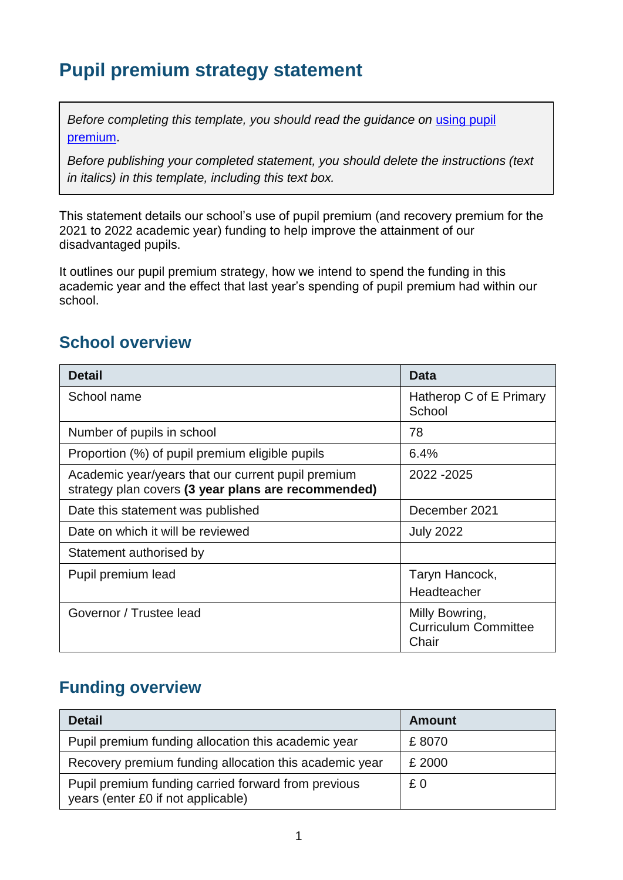## **Pupil premium strategy statement**

*Before completing this template, you should read the guidance on using pupil* [premium.](https://www.gov.uk/guidance/pupil-premium-effective-use-and-accountability#online-statements)

*Before publishing your completed statement, you should delete the instructions (text in italics) in this template, including this text box.*

This statement details our school's use of pupil premium (and recovery premium for the 2021 to 2022 academic year) funding to help improve the attainment of our disadvantaged pupils.

It outlines our pupil premium strategy, how we intend to spend the funding in this academic year and the effect that last year's spending of pupil premium had within our school.

#### **School overview**

| <b>Detail</b>                                                                                             | Data                                                   |
|-----------------------------------------------------------------------------------------------------------|--------------------------------------------------------|
| School name                                                                                               | Hatherop C of E Primary<br>School                      |
| Number of pupils in school                                                                                | 78                                                     |
| Proportion (%) of pupil premium eligible pupils                                                           | 6.4%                                                   |
| Academic year/years that our current pupil premium<br>strategy plan covers (3 year plans are recommended) | 2022 - 2025                                            |
| Date this statement was published                                                                         | December 2021                                          |
| Date on which it will be reviewed                                                                         | <b>July 2022</b>                                       |
| Statement authorised by                                                                                   |                                                        |
| Pupil premium lead                                                                                        | Taryn Hancock,<br>Headteacher                          |
| Governor / Trustee lead                                                                                   | Milly Bowring,<br><b>Curriculum Committee</b><br>Chair |

#### **Funding overview**

| <b>Detail</b>                                                                             | Amount |
|-------------------------------------------------------------------------------------------|--------|
| Pupil premium funding allocation this academic year                                       | £8070  |
| Recovery premium funding allocation this academic year                                    | £ 2000 |
| Pupil premium funding carried forward from previous<br>years (enter £0 if not applicable) | £0     |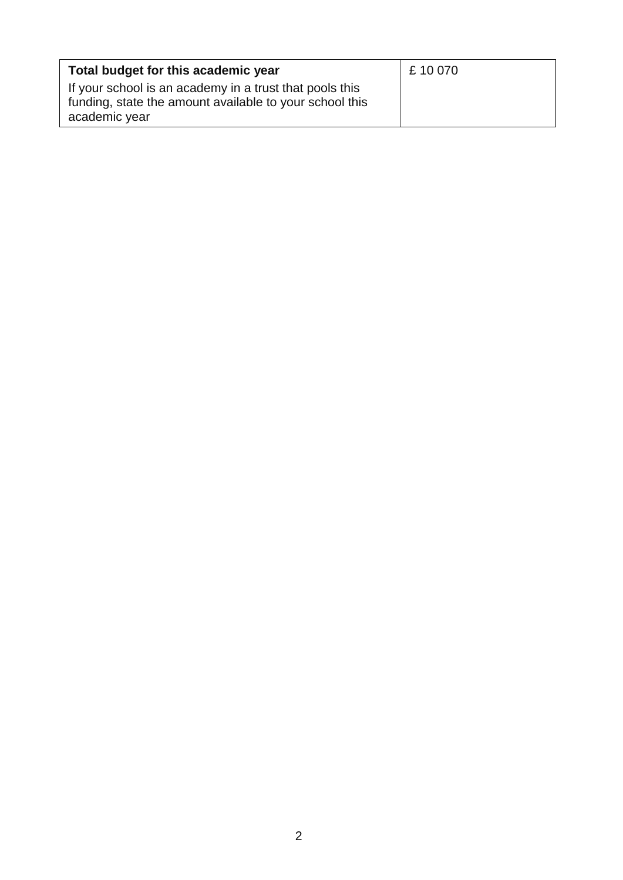| Total budget for this academic year                                                                                                 | £10070 |
|-------------------------------------------------------------------------------------------------------------------------------------|--------|
| If your school is an academy in a trust that pools this<br>funding, state the amount available to your school this<br>academic year |        |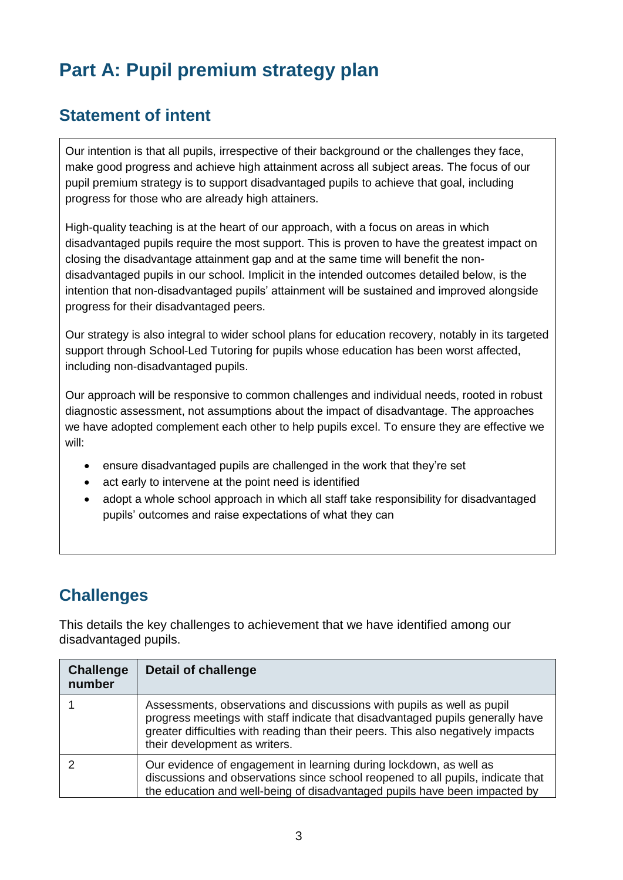# **Part A: Pupil premium strategy plan**

#### **Statement of intent**

Our intention is that all pupils, irrespective of their background or the challenges they face, make good progress and achieve high attainment across all subject areas. The focus of our pupil premium strategy is to support disadvantaged pupils to achieve that goal, including progress for those who are already high attainers.

High-quality teaching is at the heart of our approach, with a focus on areas in which disadvantaged pupils require the most support. This is proven to have the greatest impact on closing the disadvantage attainment gap and at the same time will benefit the nondisadvantaged pupils in our school. Implicit in the intended outcomes detailed below, is the intention that non-disadvantaged pupils' attainment will be sustained and improved alongside progress for their disadvantaged peers.

Our strategy is also integral to wider school plans for education recovery, notably in its targeted support through School-Led Tutoring for pupils whose education has been worst affected, including non-disadvantaged pupils.

Our approach will be responsive to common challenges and individual needs, rooted in robust diagnostic assessment, not assumptions about the impact of disadvantage. The approaches we have adopted complement each other to help pupils excel. To ensure they are effective we will:

- ensure disadvantaged pupils are challenged in the work that they're set
- act early to intervene at the point need is identified
- adopt a whole school approach in which all staff take responsibility for disadvantaged pupils' outcomes and raise expectations of what they can

#### **Challenges**

This details the key challenges to achievement that we have identified among our disadvantaged pupils.

| <b>Challenge</b><br>number | <b>Detail of challenge</b>                                                                                                                                                                                                                                                    |
|----------------------------|-------------------------------------------------------------------------------------------------------------------------------------------------------------------------------------------------------------------------------------------------------------------------------|
|                            | Assessments, observations and discussions with pupils as well as pupil<br>progress meetings with staff indicate that disadvantaged pupils generally have<br>greater difficulties with reading than their peers. This also negatively impacts<br>their development as writers. |
|                            | Our evidence of engagement in learning during lockdown, as well as<br>discussions and observations since school reopened to all pupils, indicate that<br>the education and well-being of disadvantaged pupils have been impacted by                                           |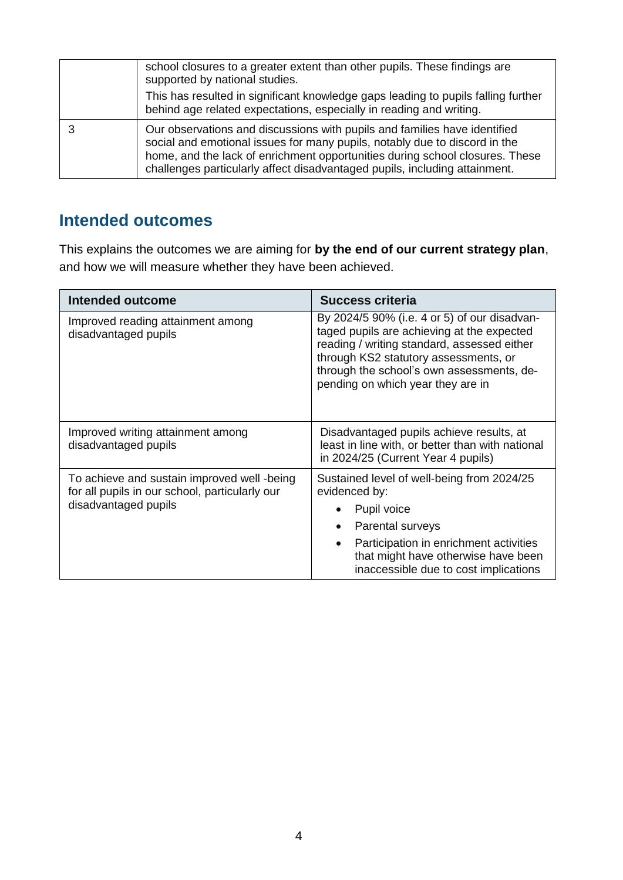| school closures to a greater extent than other pupils. These findings are<br>supported by national studies.<br>This has resulted in significant knowledge gaps leading to pupils falling further<br>behind age related expectations, especially in reading and writing.                                               |
|-----------------------------------------------------------------------------------------------------------------------------------------------------------------------------------------------------------------------------------------------------------------------------------------------------------------------|
| Our observations and discussions with pupils and families have identified<br>social and emotional issues for many pupils, notably due to discord in the<br>home, and the lack of enrichment opportunities during school closures. These<br>challenges particularly affect disadvantaged pupils, including attainment. |

#### **Intended outcomes**

This explains the outcomes we are aiming for **by the end of our current strategy plan**, and how we will measure whether they have been achieved.

| <b>Intended outcome</b>                                                                                               | <b>Success criteria</b>                                                                                                                                                                                                                                              |  |
|-----------------------------------------------------------------------------------------------------------------------|----------------------------------------------------------------------------------------------------------------------------------------------------------------------------------------------------------------------------------------------------------------------|--|
| Improved reading attainment among<br>disadvantaged pupils                                                             | By 2024/5 90% (i.e. 4 or 5) of our disadvan-<br>taged pupils are achieving at the expected<br>reading / writing standard, assessed either<br>through KS2 statutory assessments, or<br>through the school's own assessments, de-<br>pending on which year they are in |  |
| Improved writing attainment among<br>disadvantaged pupils                                                             | Disadvantaged pupils achieve results, at<br>least in line with, or better than with national<br>in 2024/25 (Current Year 4 pupils)                                                                                                                                   |  |
| To achieve and sustain improved well -being<br>for all pupils in our school, particularly our<br>disadvantaged pupils | Sustained level of well-being from 2024/25<br>evidenced by:                                                                                                                                                                                                          |  |
|                                                                                                                       | Pupil voice                                                                                                                                                                                                                                                          |  |
|                                                                                                                       | Parental surveys                                                                                                                                                                                                                                                     |  |
|                                                                                                                       | Participation in enrichment activities<br>$\bullet$<br>that might have otherwise have been<br>inaccessible due to cost implications                                                                                                                                  |  |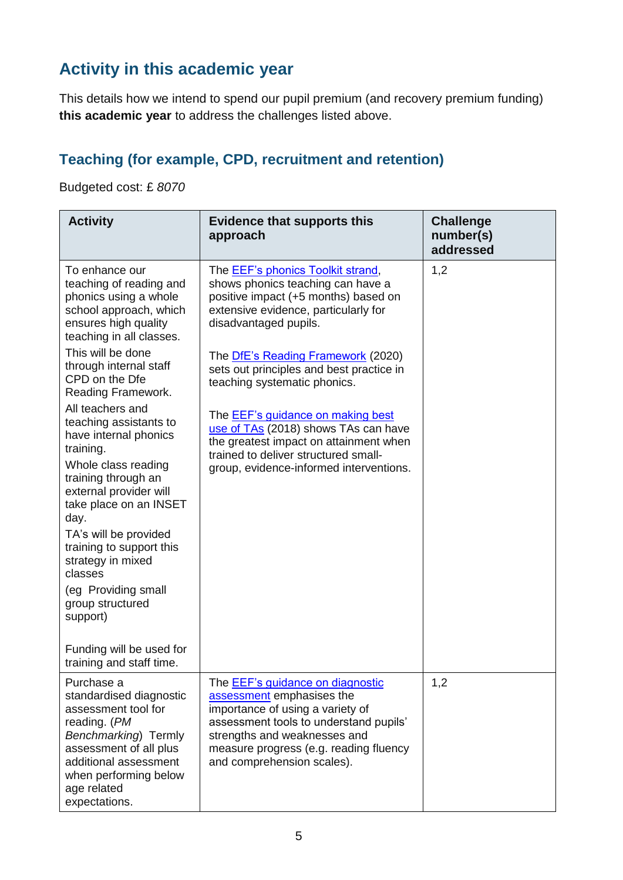### **Activity in this academic year**

This details how we intend to spend our pupil premium (and recovery premium funding) **this academic year** to address the challenges listed above.

#### **Teaching (for example, CPD, recruitment and retention)**

Budgeted cost: £ *8070*

| <b>Activity</b>                                                                                                                                                                                                                                                                                                                                                                                | <b>Evidence that supports this</b><br>approach                                                                                                                                                                                                             | <b>Challenge</b><br>number(s)<br>addressed |
|------------------------------------------------------------------------------------------------------------------------------------------------------------------------------------------------------------------------------------------------------------------------------------------------------------------------------------------------------------------------------------------------|------------------------------------------------------------------------------------------------------------------------------------------------------------------------------------------------------------------------------------------------------------|--------------------------------------------|
| To enhance our<br>teaching of reading and<br>phonics using a whole<br>school approach, which<br>ensures high quality<br>teaching in all classes.                                                                                                                                                                                                                                               | The <b>EEF's phonics Toolkit strand</b> ,<br>shows phonics teaching can have a<br>positive impact (+5 months) based on<br>extensive evidence, particularly for<br>disadvantaged pupils.                                                                    | 1,2                                        |
| This will be done<br>through internal staff<br>CPD on the Dfe<br>Reading Framework.                                                                                                                                                                                                                                                                                                            | The DfE's Reading Framework (2020)<br>sets out principles and best practice in<br>teaching systematic phonics.                                                                                                                                             |                                            |
| All teachers and<br>teaching assistants to<br>have internal phonics<br>training.<br>Whole class reading<br>training through an<br>external provider will<br>take place on an INSET<br>day.<br>TA's will be provided<br>training to support this<br>strategy in mixed<br>classes<br>(eg Providing small<br>group structured<br>support)<br>Funding will be used for<br>training and staff time. | The <b>EEF's guidance on making best</b><br>use of TAs (2018) shows TAs can have<br>the greatest impact on attainment when<br>trained to deliver structured small-<br>group, evidence-informed interventions.                                              |                                            |
| Purchase a<br>standardised diagnostic<br>assessment tool for<br>reading. (PM<br>Benchmarking) Termly<br>assessment of all plus<br>additional assessment<br>when performing below<br>age related<br>expectations.                                                                                                                                                                               | The <b>EEF's guidance on diagnostic</b><br>assessment emphasises the<br>importance of using a variety of<br>assessment tools to understand pupils'<br>strengths and weaknesses and<br>measure progress (e.g. reading fluency<br>and comprehension scales). | 1,2                                        |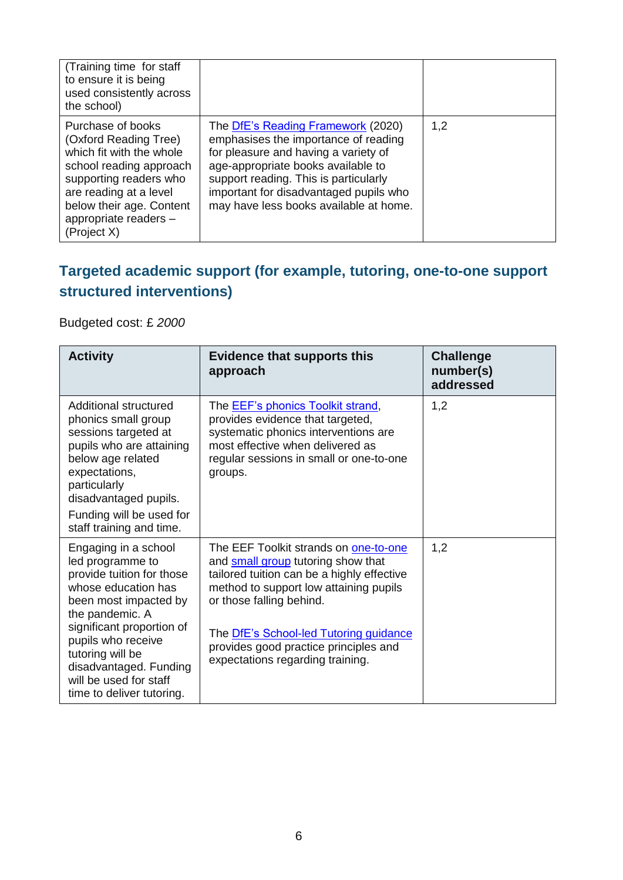| (Training time for staff)<br>to ensure it is being<br>used consistently across<br>the school)                                                                                                                             |                                                                                                                                                                                                                                                                                       |     |
|---------------------------------------------------------------------------------------------------------------------------------------------------------------------------------------------------------------------------|---------------------------------------------------------------------------------------------------------------------------------------------------------------------------------------------------------------------------------------------------------------------------------------|-----|
| Purchase of books<br>(Oxford Reading Tree)<br>which fit with the whole<br>school reading approach<br>supporting readers who<br>are reading at a level<br>below their age. Content<br>appropriate readers -<br>(Project X) | The DfE's Reading Framework (2020)<br>emphasises the importance of reading<br>for pleasure and having a variety of<br>age-appropriate books available to<br>support reading. This is particularly<br>important for disadvantaged pupils who<br>may have less books available at home. | 1,2 |

#### **Targeted academic support (for example, tutoring, one-to-one support structured interventions)**

Budgeted cost: £ *2000*

| <b>Activity</b>                                                                                                                                                                                                                                                                                  | <b>Evidence that supports this</b><br>approach                                                                                                                                                                                                                                                                         | <b>Challenge</b><br>number(s)<br>addressed |
|--------------------------------------------------------------------------------------------------------------------------------------------------------------------------------------------------------------------------------------------------------------------------------------------------|------------------------------------------------------------------------------------------------------------------------------------------------------------------------------------------------------------------------------------------------------------------------------------------------------------------------|--------------------------------------------|
| Additional structured<br>phonics small group<br>sessions targeted at<br>pupils who are attaining<br>below age related<br>expectations,<br>particularly<br>disadvantaged pupils.<br>Funding will be used for<br>staff training and time.                                                          | The <b>EEF's phonics Toolkit strand</b> ,<br>provides evidence that targeted,<br>systematic phonics interventions are<br>most effective when delivered as<br>regular sessions in small or one-to-one<br>groups.                                                                                                        | 1,2                                        |
| Engaging in a school<br>led programme to<br>provide tuition for those<br>whose education has<br>been most impacted by<br>the pandemic. A<br>significant proportion of<br>pupils who receive<br>tutoring will be<br>disadvantaged. Funding<br>will be used for staff<br>time to deliver tutoring. | The EEF Toolkit strands on one-to-one<br>and small group tutoring show that<br>tailored tuition can be a highly effective<br>method to support low attaining pupils<br>or those falling behind.<br>The DfE's School-led Tutoring guidance<br>provides good practice principles and<br>expectations regarding training. | 1,2                                        |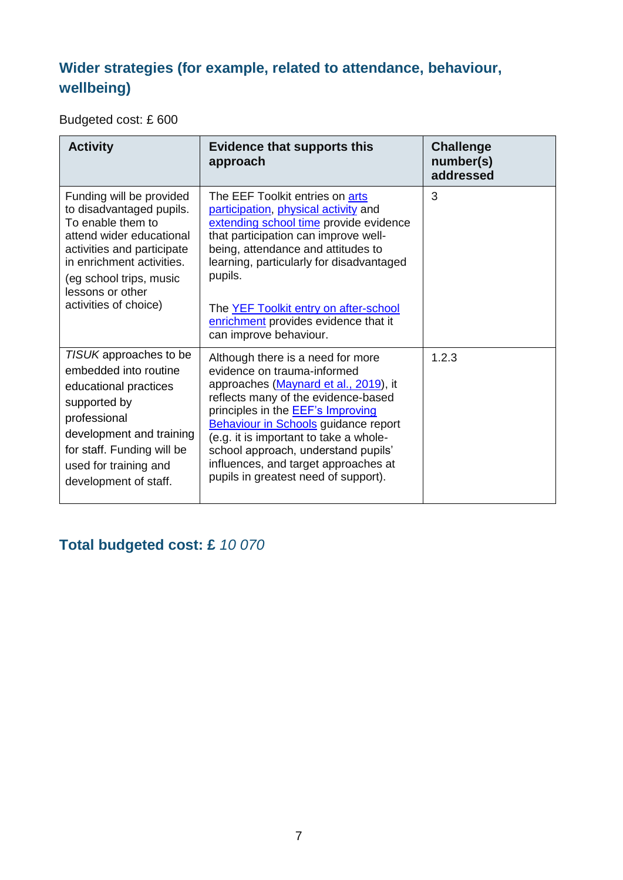#### **Wider strategies (for example, related to attendance, behaviour, wellbeing)**

Budgeted cost: £ 600

| <b>Activity</b>                                                                                                                                                                                                                          | <b>Evidence that supports this</b><br>approach                                                                                                                                                                                                                                                                                                                                                               | <b>Challenge</b><br>number(s)<br>addressed |
|------------------------------------------------------------------------------------------------------------------------------------------------------------------------------------------------------------------------------------------|--------------------------------------------------------------------------------------------------------------------------------------------------------------------------------------------------------------------------------------------------------------------------------------------------------------------------------------------------------------------------------------------------------------|--------------------------------------------|
| Funding will be provided<br>to disadvantaged pupils.<br>To enable them to<br>attend wider educational<br>activities and participate<br>in enrichment activities.<br>(eg school trips, music<br>lessons or other<br>activities of choice) | The EEF Toolkit entries on arts<br>participation, physical activity and<br>extending school time provide evidence<br>that participation can improve well-<br>being, attendance and attitudes to<br>learning, particularly for disadvantaged<br>pupils.<br>The YEF Toolkit entry on after-school<br>enrichment provides evidence that it<br>can improve behaviour.                                            | 3                                          |
| TISUK approaches to be<br>embedded into routine<br>educational practices<br>supported by<br>professional<br>development and training<br>for staff. Funding will be<br>used for training and<br>development of staff.                     | Although there is a need for more<br>evidence on trauma-informed<br>approaches (Maynard et al., 2019), it<br>reflects many of the evidence-based<br>principles in the <b>EEF's Improving</b><br><b>Behaviour in Schools guidance report</b><br>(e.g. it is important to take a whole-<br>school approach, understand pupils'<br>influences, and target approaches at<br>pupils in greatest need of support). | 1.2.3                                      |

#### **Total budgeted cost: £** *10 070*